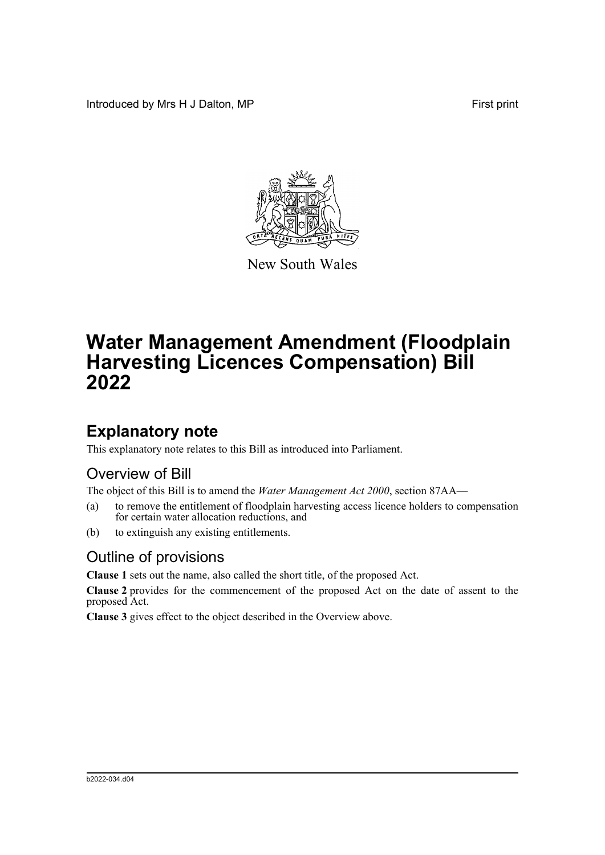Introduced by Mrs H J Dalton, MP **First** print



New South Wales

# **Water Management Amendment (Floodplain Harvesting Licences Compensation) Bill 2022**

### **Explanatory note**

This explanatory note relates to this Bill as introduced into Parliament.

#### Overview of Bill

The object of this Bill is to amend the *Water Management Act 2000*, section 87AA—

- (a) to remove the entitlement of floodplain harvesting access licence holders to compensation for certain water allocation reductions, and
- (b) to extinguish any existing entitlements.

#### Outline of provisions

**Clause 1** sets out the name, also called the short title, of the proposed Act.

**Clause 2** provides for the commencement of the proposed Act on the date of assent to the proposed Act.

**Clause 3** gives effect to the object described in the Overview above.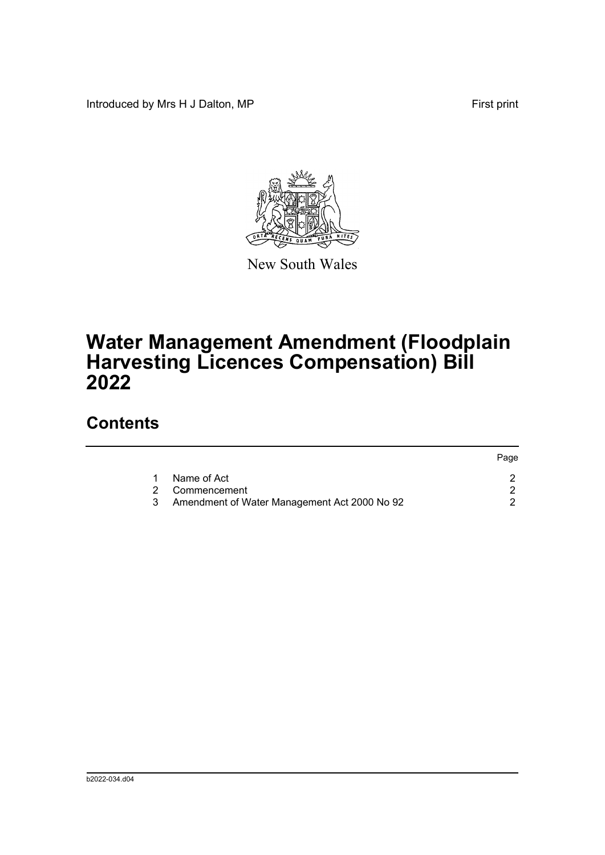Introduced by Mrs H J Dalton, MP **First** print



New South Wales

## **Water Management Amendment (Floodplain Harvesting Licences Compensation) Bill 2022**

#### **Contents**

|   |                                              | Page |
|---|----------------------------------------------|------|
|   | Name of Act                                  |      |
|   | 2 Commencement                               |      |
| 3 | Amendment of Water Management Act 2000 No 92 |      |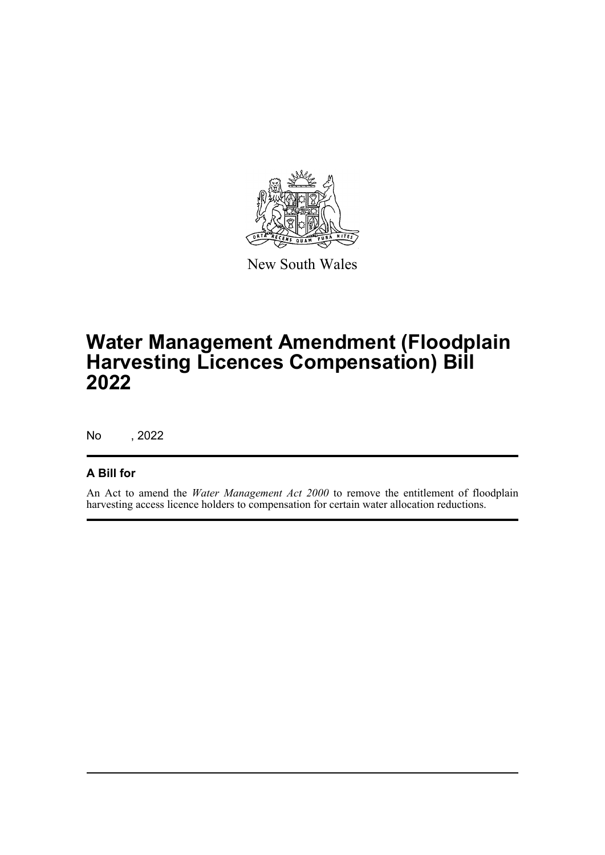

New South Wales

## **Water Management Amendment (Floodplain Harvesting Licences Compensation) Bill 2022**

No , 2022

#### **A Bill for**

An Act to amend the *Water Management Act 2000* to remove the entitlement of floodplain harvesting access licence holders to compensation for certain water allocation reductions.